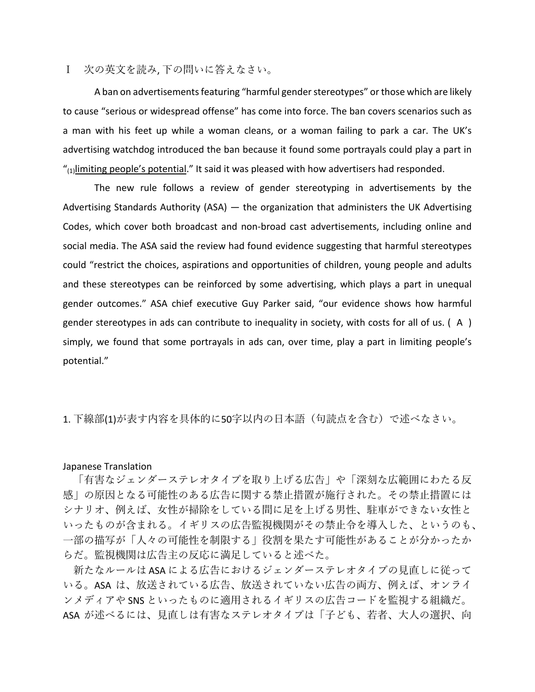Ⅰ 次の英⽂を読み, 下の問いに答えなさい。

A ban on advertisements featuring "harmful gender stereotypes" or those which are likely to cause "serious or widespread offense" has come into force. The ban covers scenarios such as a man with his feet up while a woman cleans, or a woman failing to park a car. The UK's advertising watchdog introduced the ban because it found some portrayals could play a part in  $T_{\text{1}}$ limiting people's potential." It said it was pleased with how advertisers had responded.

The new rule follows a review of gender stereotyping in advertisements by the Advertising Standards Authority (ASA) — the organization that administers the UK Advertising Codes, which cover both broadcast and non-broad cast advertisements, including online and social media. The ASA said the review had found evidence suggesting that harmful stereotypes could "restrict the choices, aspirations and opportunities of children, young people and adults and these stereotypes can be reinforced by some advertising, which plays a part in unequal gender outcomes." ASA chief executive Guy Parker said, "our evidence shows how harmful gender stereotypes in ads can contribute to inequality in society, with costs for all of us. ( A ) simply, we found that some portrayals in ads can, over time, play a part in limiting people's potential."

## 1. 下線部(1)が表す内容を具体的に50字以内の日本語(句読点を含む)で述べなさい。

## Japanese Translation

「有害なジェンダーステレオタイプを取り上げる広告」や「深刻な広範囲にわたる反 感」の原因となる可能性のある広告に関する禁⽌措置が施⾏された。その禁⽌措置には シナリオ、例えば、女性が掃除をしている間に足を上げる男性、駐車ができない女性と いったものが含まれる。イギリスの広告監視機関がその禁止令を導入した、というのも、 ⼀部の描写が「⼈々の可能性を制限する」役割を果たす可能性があることが分かったか らだ。監視機関は広告主の反応に満足していると述べた。

新たなルールは ASA による広告におけるジェンダーステレオタイプの見直しに従って いる。ASA は、放送されている広告、放送されていない広告の両方、例えば、オンライ ンメディアや SNS といったものに適⽤されるイギリスの広告コードを監視する組織だ。 ASA が述べるには、見直しは有害なステレオタイプは「子ども、若者、大人の選択、向